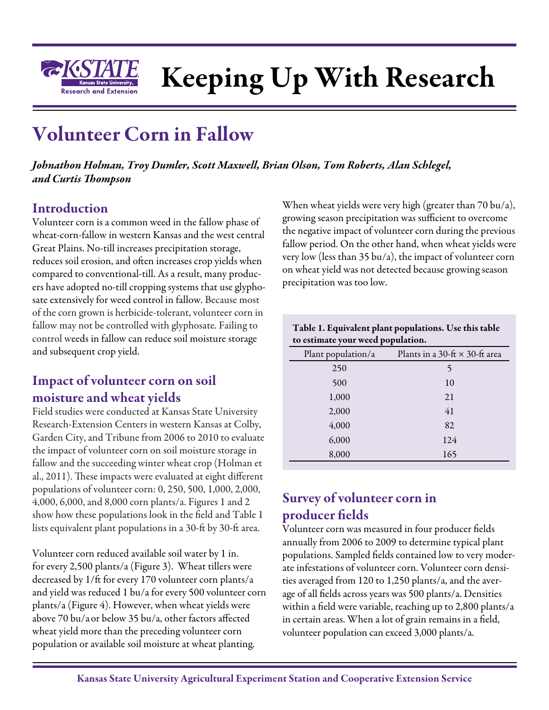

# Keeping Up With Research

## Volunteer Corn in Fallow

*Johnathon Holman, Troy Dumler, Scott Maxwell, Brian Olson, Tom Roberts, Alan Schlegel, and Curtis Thompson*

### Introduction

Volunteer corn is a common weed in the fallow phase of wheat-corn-fallow in western Kansas and the west central Great Plains. No-till increases precipitation storage, reduces soil erosion, and often increases crop yields when compared to conventional-till. As a result, many producers have adopted no-till cropping systems that use glyphosate extensively for weed control in fallow. Because most of the corn grown is herbicide-tolerant, volunteer corn in fallow may not be controlled with glyphosate. Failing to control weeds in fallow can reduce soil moisture storage and subsequent crop yield.

#### Impact of volunteer corn on soil moisture and wheat yields

Field studies were conducted at Kansas State University Research-Extension Centers in western Kansas at Colby, Garden City, and Tribune from 2006 to 2010 to evaluate the impact of volunteer corn on soil moisture storage in fallow and the succeeding winter wheat crop (Holman et al., 2011). These impacts were evaluated at eight different populations of volunteer corn: 0, 250, 500, 1,000, 2,000, 4,000, 6,000, and 8,000 corn plants/a. Figures 1 and 2 show how these populations look in the field and Table 1 lists equivalent plant populations in a 30-ft by 30-ft area.

Volunteer corn reduced available soil water by 1 in. for every 2,500 plants/a (Figure 3). Wheat tillers were decreased by 1/ft for every 170 volunteer corn plants/a and yield was reduced 1 bu/a for every 500 volunteer corn plants/a (Figure 4). However, when wheat yields were above 70 bu/aor below 35 bu/a, other factors affected wheat yield more than the preceding volunteer corn population or available soil moisture at wheat planting.

When wheat yields were very high (greater than 70 bu/a), growing season precipitation was sufficient to overcome the negative impact of volunteer corn during the previous fallow period. On the other hand, when wheat yields were very low (less than 35 bu/a), the impact of volunteer corn on wheat yield was not detected because growing season precipitation was too low.

| Table 1. Equivalent plant populations. Use this table<br>to estimate your weed population. |                                       |  |  |  |
|--------------------------------------------------------------------------------------------|---------------------------------------|--|--|--|
| Plant population/a                                                                         | Plants in a 30-ft $\times$ 30-ft area |  |  |  |
| 250                                                                                        | 5                                     |  |  |  |
| 500                                                                                        | 10                                    |  |  |  |
| 1,000                                                                                      | 21                                    |  |  |  |
| 2,000                                                                                      | 41                                    |  |  |  |
| 4,000                                                                                      | 82                                    |  |  |  |
| 6,000                                                                                      | 124                                   |  |  |  |
| 8,000                                                                                      | 165                                   |  |  |  |

#### Survey of volunteer corn in producer fields

Volunteer corn was measured in four producer fields annually from 2006 to 2009 to determine typical plant populations. Sampled fields contained low to very moderate infestations of volunteer corn. Volunteer corn densities averaged from 120 to 1,250 plants/a, and the average of all fields across years was 500 plants/a. Densities within a field were variable, reaching up to 2,800 plants/a in certain areas. When a lot of grain remains in a field, volunteer population can exceed 3,000 plants/a.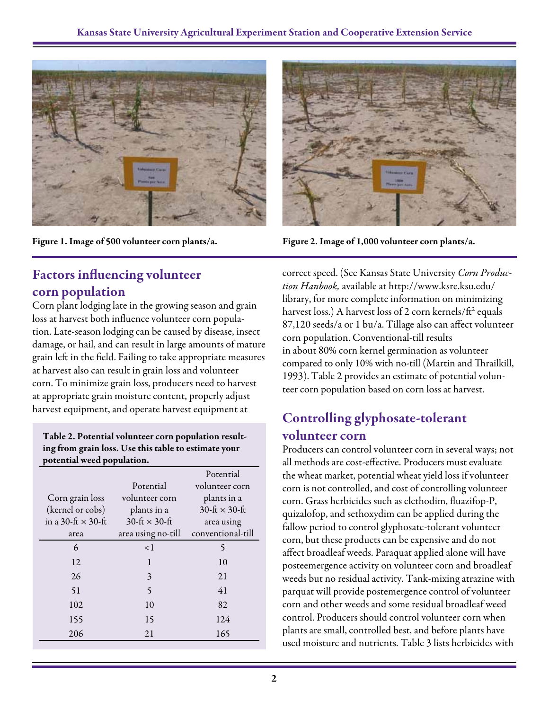

Figure 1. Image of 500 volunteer corn plants/a.

#### Factors influencing volunteer corn population

Corn plant lodging late in the growing season and grain loss at harvest both influence volunteer corn population. Late-season lodging can be caused by disease, insect damage, or hail, and can result in large amounts of mature grain left in the field. Failing to take appropriate measures at harvest also can result in grain loss and volunteer corn. To minimize grain loss, producers need to harvest at appropriate grain moisture content, properly adjust harvest equipment, and operate harvest equipment at

#### Table 2. Potential volunteer corn population resulting from grain loss. Use this table to estimate your potential weed population.

|                           |                          | Potential               |
|---------------------------|--------------------------|-------------------------|
|                           | Potential                | volunteer corn          |
| Corn grain loss           | volunteer corn           | plants in a             |
| (kernel or cobs)          | plants in a              | $30$ -ft $\times$ 30-ft |
| in a 30-ft $\times$ 30-ft | $30$ -ft $\times$ 30-ft  | area using              |
| area                      | area using no-till       | conventional-till       |
| 6                         | $\leq$ 1                 | 5                       |
| 12                        | 1                        | 10                      |
| 26                        | 3                        | 21                      |
| 51                        | $\overline{\phantom{0}}$ | 41                      |
| 102                       | 10                       | 82                      |
| 155                       | 15                       | 124                     |
| 206                       | 21                       | 165                     |



Figure 2. Image of 1,000 volunteer corn plants/a.

correct speed. (See Kansas State University *Corn Production Hanbook,* available at http://www.ksre.ksu.edu/ library, for more complete information on minimizing harvest loss.) A harvest loss of 2 corn kernels/ft<sup>2</sup> equals 87,120 seeds/a or 1 bu/a. Tillage also can affect volunteer corn population. Conventional-till results in about 80% corn kernel germination as volunteer compared to only 10% with no-till (Martin and Thrailkill, 1993). Table 2 provides an estimate of potential volunteer corn population based on corn loss at harvest.

### Controlling glyphosate-tolerant volunteer corn

Producers can control volunteer corn in several ways; not all methods are cost-effective. Producers must evaluate the wheat market, potential wheat yield loss if volunteer corn is not controlled, and cost of controlling volunteer corn. Grass herbicides such as clethodim, fluazifop-P, quizalofop, and sethoxydim can be applied during the fallow period to control glyphosate-tolerant volunteer corn, but these products can be expensive and do not affect broadleaf weeds. Paraquat applied alone will have posteemergence activity on volunteer corn and broadleaf weeds but no residual activity. Tank-mixing atrazine with parquat will provide postemergence control of volunteer corn and other weeds and some residual broadleaf weed control. Producers should control volunteer corn when plants are small, controlled best, and before plants have used moisture and nutrients. Table 3 lists herbicides with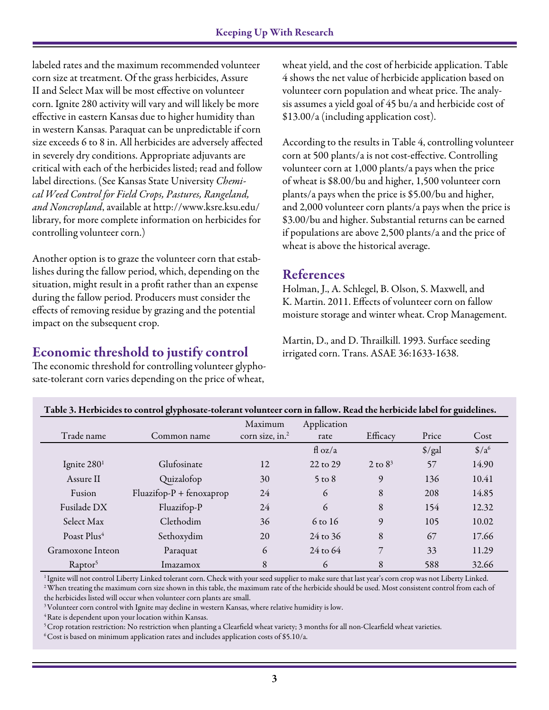labeled rates and the maximum recommended volunteer corn size at treatment. Of the grass herbicides, Assure II and Select Max will be most effective on volunteer corn. Ignite 280 activity will vary and will likely be more effective in eastern Kansas due to higher humidity than in western Kansas. Paraquat can be unpredictable if corn size exceeds 6 to 8 in. All herbicides are adversely affected in severely dry conditions. Appropriate adjuvants are critical with each of the herbicides listed; read and follow label directions. (See Kansas State University *Chemical Weed Control for Field Crops, Pastures, Rangeland, and Noncropland*, available at http://www.ksre.ksu.edu/ library, for more complete information on herbicides for controlling volunteer corn.)

Another option is to graze the volunteer corn that establishes during the fallow period, which, depending on the situation, might result in a profit rather than an expense during the fallow period. Producers must consider the effects of removing residue by grazing and the potential impact on the subsequent crop.

#### Economic threshold to justify control

The economic threshold for controlling volunteer glyphosate-tolerant corn varies depending on the price of wheat,

wheat yield, and the cost of herbicide application. Table 4 shows the net value of herbicide application based on volunteer corn population and wheat price. The analysis assumes a yield goal of 45 bu/a and herbicide cost of \$13.00/a (including application cost).

According to the results in Table 4, controlling volunteer corn at 500 plants/a is not cost-effective. Controlling volunteer corn at 1,000 plants/a pays when the price of wheat is \$8.00/bu and higher, 1,500 volunteer corn plants/a pays when the price is \$5.00/bu and higher, and 2,000 volunteer corn plants/a pays when the price is \$3.00/bu and higher. Substantial returns can be earned if populations are above 2,500 plants/a and the price of wheat is above the historical average.

#### References

Holman, J., A. Schlegel, B. Olson, S. Maxwell, and K. Martin. 2011. Effects of volunteer corn on fallow moisture storage and winter wheat. Crop Management.

Martin, D., and D. Thrailkill. 1993. Surface seeding irrigated corn. Trans. ASAE 36:1633-1638.

| Table 3. Herbicides to control glyphosate-tolerant volunteer corn in fallow. Read the herbicide label for guidelines. |                            |                             |                     |            |                      |                             |
|-----------------------------------------------------------------------------------------------------------------------|----------------------------|-----------------------------|---------------------|------------|----------------------|-----------------------------|
|                                                                                                                       |                            | Maximum                     | Application         |            |                      |                             |
| Trade name                                                                                                            | Common name                | corn size, in. <sup>2</sup> | rate                | Efficacy   | Price                | Cost                        |
|                                                                                                                       |                            |                             | $f{d}$ oz/a         |            | $\frac{\sqrt{2}}{2}$ | $\frac{\text{C}}{\text{2}}$ |
| Ignite $2801$                                                                                                         | Glufosinate                | 12                          | 22 to 29            | 2 to $8^3$ | 57                   | 14.90                       |
| Assure II                                                                                                             | Quizalofop                 | 30                          | $5 \text{ to } 8$   | 9          | 136                  | 10.41                       |
| Fusion                                                                                                                | $Fluazifop-P + fenoxaprop$ | 24                          | 6                   | 8          | 208                  | 14.85                       |
| Fusilade DX                                                                                                           | Fluazifop-P                | 24                          | 6                   | 8          | 154                  | 12.32                       |
| Select Max                                                                                                            | Clethodim                  | 36                          | 6 to 16             | 9          | 105                  | 10.02                       |
| Poast Plus <sup>4</sup>                                                                                               | Sethoxydim                 | 20                          | 24 to 36            | 8          | 67                   | 17.66                       |
| Gramoxone Inteon                                                                                                      | Paraquat                   | 6                           | $24 \text{ to } 64$ | 7          | 33                   | 11.29                       |
| Raptor <sup>5</sup>                                                                                                   | Imazamox                   | 8                           | 6                   | 8          | 588                  | 32.66                       |

<sup>1</sup> Ignite will not control Liberty Linked tolerant corn. Check with your seed supplier to make sure that last year's corn crop was not Liberty Linked. <sup>2</sup> When treating the maximum corn size shown in this table, the maximum rate of the herbicide should be used. Most consistent control from each of the herbicides listed will occur when volunteer corn plants are small.

<sup>3</sup> Volunteer corn control with Ignite may decline in western Kansas, where relative humidity is low.

4 Rate is dependent upon your location within Kansas.

<sup>5</sup> Crop rotation restriction: No restriction when planting a Clearfield wheat variety; 3 months for all non-Clearfield wheat varieties.

6 Cost is based on minimum application rates and includes application costs of \$5.10/a.